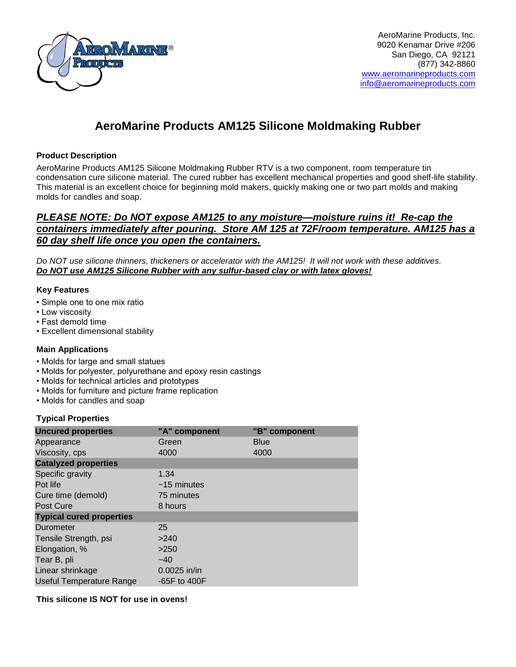

AeroMarine Products, Inc. 9020 Kenamar Drive #206 San Diego, CA 92121 (877) 342-8860 [www.aeromarineproducts.com](http://www.aeromarineproducts.com/) [info@aeromarineproducts.com](mailto:info@aeromarineproducts.com)

# **AeroMarine Products AM125 Silicone Moldmaking Rubber**

## **Product Description**

AeroMarine Products AM125 Silicone Moldmaking Rubber RTV is a two component, room temperature tin condensation cure silicone material. The cured rubber has excellent mechanical properties and good shelf-life stability. This material is an excellent choice for beginning mold makers, quickly making one or two part molds and making molds for candles and soap.

## *PLEASE NOTE: Do NOT expose AM125 to any moisture—moisture ruins it! Re-cap the containers immediately after pouring. Store AM 125 at 72F/room temperature. AM125 has a 60 day shelf life once you open the containers.*

*Do NOT use silicone thinners, thickeners or accelerator with the AM125! It will not work with these additives. Do NOT use AM125 Silicone Rubber with any sulfur-based clay or with latex gloves!*

## **Key Features**

- Simple one to one mix ratio
- Low viscosity
- Fast demold time
- Excellent dimensional stability

## **Main Applications**

- Molds for large and small statues
- Molds for polyester, polyurethane and epoxy resin castings
- Molds for technical articles and prototypes
- Molds for furniture and picture frame replication
- Molds for candles and soap

## **Typical Properties**

| <b>Uncured properties</b>       | "A" component    | "B" component |  |
|---------------------------------|------------------|---------------|--|
| Appearance                      | Green            | <b>Blue</b>   |  |
| Viscosity, cps                  | 4000             | 4000          |  |
| <b>Catalyzed properties</b>     |                  |               |  |
| Specific gravity                | 1.34             |               |  |
| Pot life                        | $~15$ minutes    |               |  |
| Cure time (demold)              | 75 minutes       |               |  |
| Post Cure                       | 8 hours          |               |  |
| <b>Typical cured properties</b> |                  |               |  |
| Durometer                       | 25               |               |  |
| Tensile Strength, psi           | >240             |               |  |
| Elongation, %                   | >250             |               |  |
| Tear B, pli                     | $-40$            |               |  |
| Linear shrinkage                | 0.0025 in/in     |               |  |
| <b>Useful Temperature Range</b> | $-65F$ to $400F$ |               |  |

## **This silicone IS NOT for use in ovens!**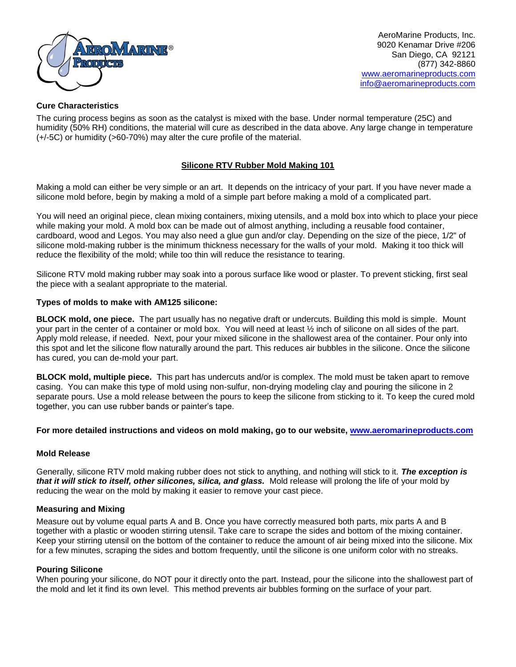

AeroMarine Products, Inc. 9020 Kenamar Drive #206 San Diego, CA 92121 (877) 342-8860 [www.aeromarineproducts.com](http://www.aeromarineproducts.com/) [info@aeromarineproducts.com](mailto:info@aeromarineproducts.com)

## **Cure Characteristics**

The curing process begins as soon as the catalyst is mixed with the base. Under normal temperature (25C) and humidity (50% RH) conditions, the material will cure as described in the data above. Any large change in temperature (+/-5C) or humidity (>60-70%) may alter the cure profile of the material.

## **Silicone RTV Rubber Mold Making 101**

Making a mold can either be very simple or an art. It depends on the intricacy of your part. If you have never made a silicone mold before, begin by making a mold of a simple part before making a mold of a complicated part.

You will need an original piece, clean mixing containers, mixing utensils, and a mold box into which to place your piece while making your mold. A mold box can be made out of almost anything, including a reusable food container, cardboard, wood and Legos. You may also need a glue gun and/or clay. Depending on the size of the piece, 1/2" of silicone mold-making rubber is the minimum thickness necessary for the walls of your mold. Making it too thick will reduce the flexibility of the mold; while too thin will reduce the resistance to tearing.

Silicone RTV mold making rubber may soak into a porous surface like wood or plaster. To prevent sticking, first seal the piece with a sealant appropriate to the material.

#### **Types of molds to make with AM125 silicone:**

**BLOCK mold, one piece.** The part usually has no negative draft or undercuts. Building this mold is simple. Mount your part in the center of a container or mold box. You will need at least ½ inch of silicone on all sides of the part. Apply mold release, if needed. Next, pour your mixed silicone in the shallowest area of the container. Pour only into this spot and let the silicone flow naturally around the part. This reduces air bubbles in the silicone. Once the silicone has cured, you can de-mold your part.

**BLOCK mold, multiple piece.** This part has undercuts and/or is complex. The mold must be taken apart to remove casing. You can make this type of mold using non-sulfur, non-drying modeling clay and pouring the silicone in 2 separate pours. Use a mold release between the pours to keep the silicone from sticking to it. To keep the cured mold together, you can use rubber bands or painter's tape.

#### **For more detailed instructions and videos on mold making, go to our website, [www.aeromarineproducts.com](http://www.aeromarineproducts.com/)**

#### **Mold Release**

Generally, silicone RTV mold making rubber does not stick to anything, and nothing will stick to it. *The exception is that it will stick to itself, other silicones, silica, and glass.* Mold release will prolong the life of your mold by reducing the wear on the mold by making it easier to remove your cast piece.

#### **Measuring and Mixing**

Measure out by volume equal parts A and B. Once you have correctly measured both parts, mix parts A and B together with a plastic or wooden stirring utensil. Take care to scrape the sides and bottom of the mixing container. Keep your stirring utensil on the bottom of the container to reduce the amount of air being mixed into the silicone. Mix for a few minutes, scraping the sides and bottom frequently, until the silicone is one uniform color with no streaks.

#### **Pouring Silicone**

When pouring your silicone, do NOT pour it directly onto the part. Instead, pour the silicone into the shallowest part of the mold and let it find its own level. This method prevents air bubbles forming on the surface of your part.